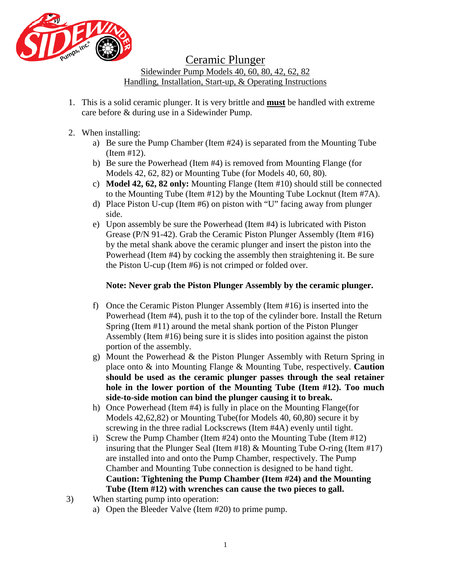

Ceramic Plunger

Sidewinder Pump Models 40, 60, 80, 42, 62, 82 Handling, Installation, Start-up, & Operating Instructions

- 1. This is a solid ceramic plunger. It is very brittle and **must** be handled with extreme care before & during use in a Sidewinder Pump.
- 2. When installing:
	- a) Be sure the Pump Chamber (Item #24) is separated from the Mounting Tube (Item #12).
	- b) Be sure the Powerhead (Item #4) is removed from Mounting Flange (for Models 42, 62, 82) or Mounting Tube (for Models 40, 60, 80).
	- c) **Model 42, 62, 82 only:** Mounting Flange (Item #10) should still be connected to the Mounting Tube (Item #12) by the Mounting Tube Locknut (Item #7A).
	- d) Place Piston U-cup (Item #6) on piston with "U" facing away from plunger side.
	- e) Upon assembly be sure the Powerhead (Item #4) is lubricated with Piston Grease (P/N 91-42). Grab the Ceramic Piston Plunger Assembly (Item #16) by the metal shank above the ceramic plunger and insert the piston into the Powerhead (Item #4) by cocking the assembly then straightening it. Be sure the Piston U-cup (Item #6) is not crimped or folded over.

## **Note: Never grab the Piston Plunger Assembly by the ceramic plunger.**

- f) Once the Ceramic Piston Plunger Assembly (Item #16) is inserted into the Powerhead (Item #4), push it to the top of the cylinder bore. Install the Return Spring (Item #11) around the metal shank portion of the Piston Plunger Assembly (Item #16) being sure it is slides into position against the piston portion of the assembly.
- g) Mount the Powerhead & the Piston Plunger Assembly with Return Spring in place onto & into Mounting Flange & Mounting Tube, respectively. **Caution should be used as the ceramic plunger passes through the seal retainer hole in the lower portion of the Mounting Tube (Item #12). Too much side-to-side motion can bind the plunger causing it to break.**
- h) Once Powerhead (Item #4) is fully in place on the Mounting Flange(for Models 42,62,82) or Mounting Tube(for Models 40, 60,80) secure it by screwing in the three radial Lockscrews (Item #4A) evenly until tight.
- i) Screw the Pump Chamber (Item #24) onto the Mounting Tube (Item #12) insuring that the Plunger Seal (Item  $\#18$ ) & Mounting Tube O-ring (Item  $\#17$ ) are installed into and onto the Pump Chamber, respectively. The Pump Chamber and Mounting Tube connection is designed to be hand tight. **Caution: Tightening the Pump Chamber (Item #24) and the Mounting Tube (Item #12) with wrenches can cause the two pieces to gall.**
- 3) When starting pump into operation:
	- a) Open the Bleeder Valve (Item #20) to prime pump.